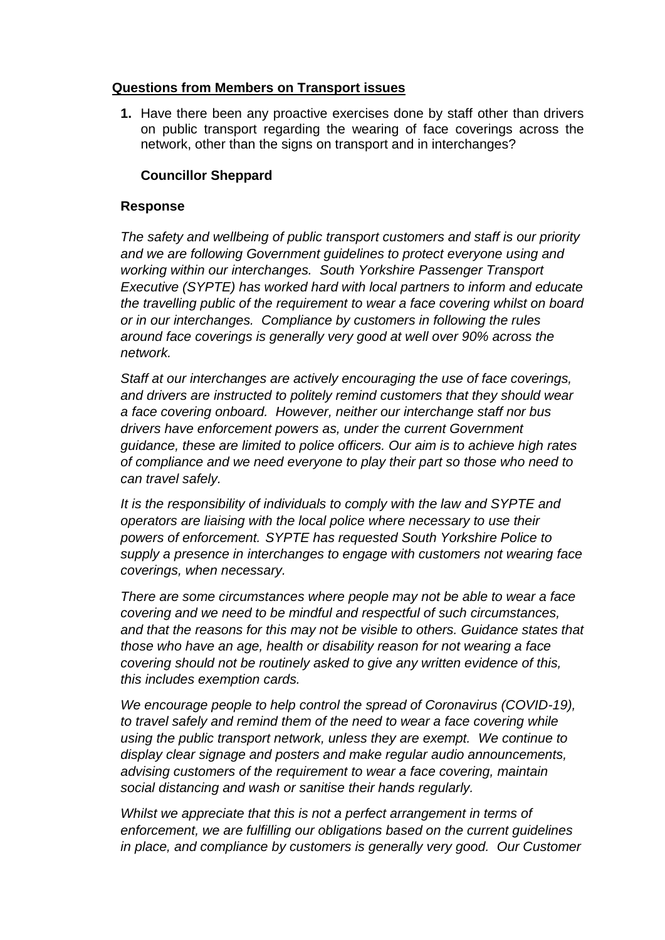## **Questions from Members on Transport issues**

**1.** Have there been any proactive exercises done by staff other than drivers on public transport regarding the wearing of face coverings across the network, other than the signs on transport and in interchanges?

# **Councillor Sheppard**

## **Response**

*The safety and wellbeing of public transport customers and staff is our priority and we are following Government guidelines to protect everyone using and working within our interchanges. South Yorkshire Passenger Transport Executive (SYPTE) has worked hard with local partners to inform and educate the travelling public of the requirement to wear a face covering whilst on board or in our interchanges. Compliance by customers in following the rules around face coverings is generally very good at well over 90% across the network.*

*Staff at our interchanges are actively encouraging the use of face coverings, and drivers are instructed to politely remind customers that they should wear a face covering onboard. However, neither our interchange staff nor bus drivers have enforcement powers as, under the current Government guidance, these are limited to police officers. Our aim is to achieve high rates of compliance and we need everyone to play their part so those who need to can travel safely.*

*It is the responsibility of individuals to comply with the law and SYPTE and operators are liaising with the local police where necessary to use their powers of enforcement. SYPTE has requested South Yorkshire Police to supply a presence in interchanges to engage with customers not wearing face coverings, when necessary.*

*There are some circumstances where people may not be able to wear a face covering and we need to be mindful and respectful of such circumstances, and that the reasons for this may not be visible to others. Guidance states that those who have an age, health or disability reason for not wearing a face covering should not be routinely asked to give any written evidence of this, this includes exemption cards.*

*We encourage people to help control the spread of Coronavirus (COVID-19), to travel safely and remind them of the need to wear a face covering while using the public transport network, unless they are exempt. We continue to display clear signage and posters and make regular audio announcements, advising customers of the requirement to wear a face covering, maintain social distancing and wash or sanitise their hands regularly.*

*Whilst we appreciate that this is not a perfect arrangement in terms of enforcement, we are fulfilling our obligations based on the current guidelines in place, and compliance by customers is generally very good. Our Customer*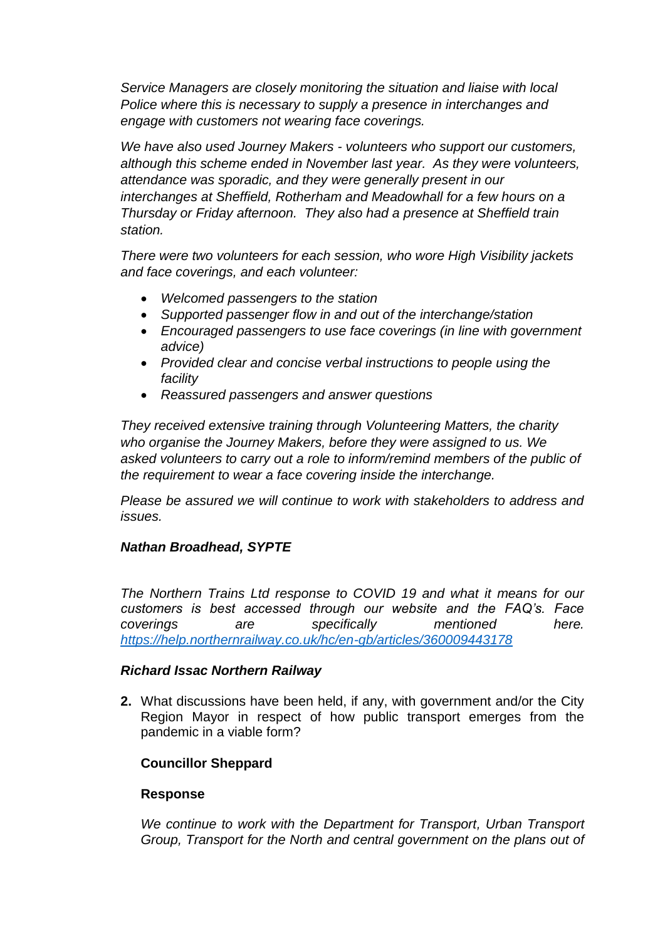*Service Managers are closely monitoring the situation and liaise with local Police where this is necessary to supply a presence in interchanges and engage with customers not wearing face coverings.*

*We have also used Journey Makers - volunteers who support our customers, although this scheme ended in November last year. As they were volunteers, attendance was sporadic, and they were generally present in our interchanges at Sheffield, Rotherham and Meadowhall for a few hours on a Thursday or Friday afternoon. They also had a presence at Sheffield train station.* 

*There were two volunteers for each session, who wore High Visibility jackets and face coverings, and each volunteer:*

- *Welcomed passengers to the station*
- *Supported passenger flow in and out of the interchange/station*
- *Encouraged passengers to use face coverings (in line with government advice)*
- *Provided clear and concise verbal instructions to people using the facility*
- *Reassured passengers and answer questions*

*They received extensive training through Volunteering Matters, the charity who organise the Journey Makers, before they were assigned to us. We*  asked volunteers to carry out a role to inform/remind members of the public of *the requirement to wear a face covering inside the interchange.* 

*Please be assured we will continue to work with stakeholders to address and issues.*

# *Nathan Broadhead, SYPTE*

*The Northern Trains Ltd response to COVID 19 and what it means for our customers is best accessed through our website and the FAQ's. Face coverings are specifically mentioned here. <https://help.northernrailway.co.uk/hc/en-gb/articles/360009443178>*

## *Richard Issac Northern Railway*

**2.** What discussions have been held, if any, with government and/or the City Region Mayor in respect of how public transport emerges from the pandemic in a viable form?

# **Councillor Sheppard**

## **Response**

*We continue to work with the Department for Transport, Urban Transport Group, Transport for the North and central government on the plans out of*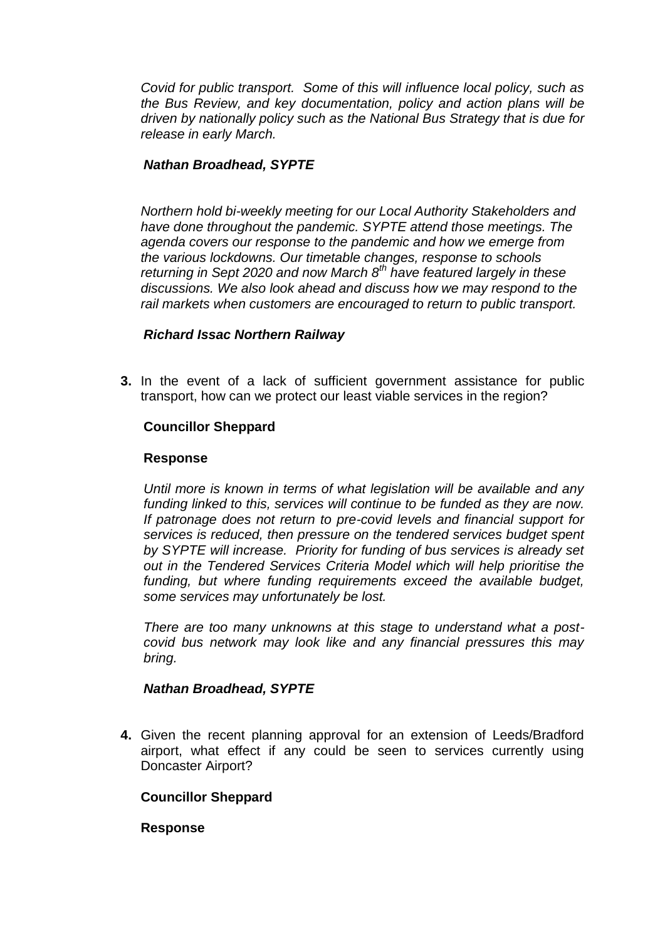*Covid for public transport. Some of this will influence local policy, such as the Bus Review, and key documentation, policy and action plans will be driven by nationally policy such as the National Bus Strategy that is due for release in early March.*

## *Nathan Broadhead, SYPTE*

*Northern hold bi-weekly meeting for our Local Authority Stakeholders and have done throughout the pandemic. SYPTE attend those meetings. The agenda covers our response to the pandemic and how we emerge from the various lockdowns. Our timetable changes, response to schools returning in Sept 2020 and now March 8th have featured largely in these discussions. We also look ahead and discuss how we may respond to the rail markets when customers are encouraged to return to public transport.*

## *Richard Issac Northern Railway*

**3.** In the event of a lack of sufficient government assistance for public transport, how can we protect our least viable services in the region?

## **Councillor Sheppard**

#### **Response**

*Until more is known in terms of what legislation will be available and any funding linked to this, services will continue to be funded as they are now. If patronage does not return to pre-covid levels and financial support for services is reduced, then pressure on the tendered services budget spent by SYPTE will increase. Priority for funding of bus services is already set out in the Tendered Services Criteria Model which will help prioritise the*  funding, but where funding requirements exceed the available budget, *some services may unfortunately be lost.*

*There are too many unknowns at this stage to understand what a postcovid bus network may look like and any financial pressures this may bring.*

## *Nathan Broadhead, SYPTE*

**4.** Given the recent planning approval for an extension of Leeds/Bradford airport, what effect if any could be seen to services currently using Doncaster Airport?

## **Councillor Sheppard**

#### **Response**